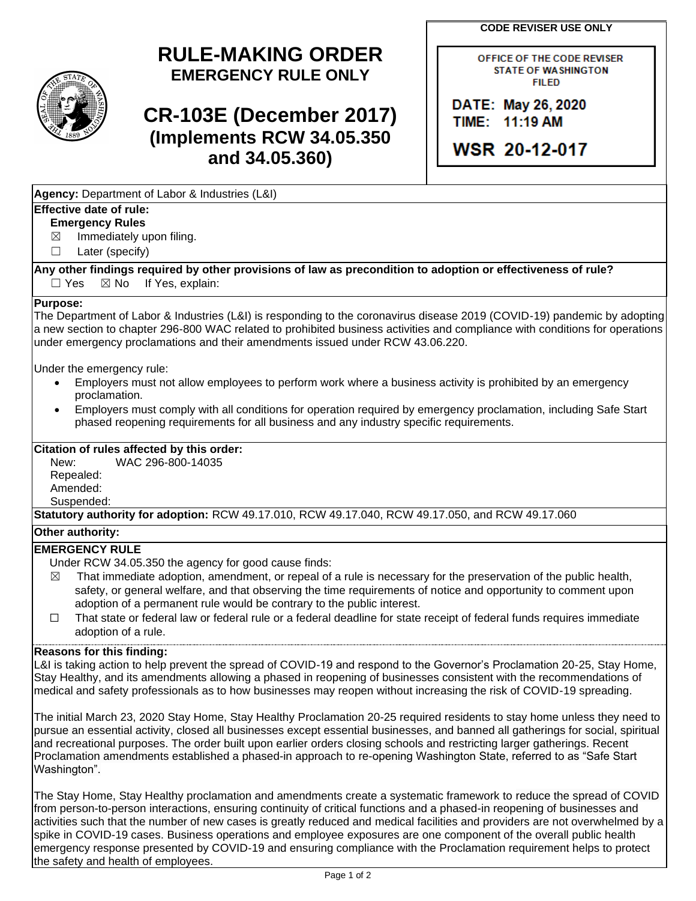**CODE REVISER USE ONLY**

# **RULE-MAKING ORDER EMERGENCY RULE ONLY**

# **CR-103E (December 2017) (Implements RCW 34.05.350 and 34.05.360)**

OFFICE OF THE CODE REVISER **STATE OF WASHINGTON FILED** 

DATE: May 26, 2020 TIME: 11:19 AM

WSR 20-12-017

|  | Agency: Department of Labor & Industries (L&I) |  |  |  |
|--|------------------------------------------------|--|--|--|
|  |                                                |  |  |  |

### **Effective date of rule:**

## **Emergency Rules**

 $\boxtimes$  Immediately upon filing.

☐ Later (specify)

**Any other findings required by other provisions of law as precondition to adoption or effectiveness of rule?**  $\Box$  Yes  $\boxtimes$  No If Yes, explain:

#### **Purpose:**

The Department of Labor & Industries (L&I) is responding to the coronavirus disease 2019 (COVID-19) pandemic by adopting a new section to chapter 296-800 WAC related to prohibited business activities and compliance with conditions for operations under emergency proclamations and their amendments issued under RCW 43.06.220.

Under the emergency rule:

- Employers must not allow employees to perform work where a business activity is prohibited by an emergency proclamation.
- Employers must comply with all conditions for operation required by emergency proclamation, including Safe Start phased reopening requirements for all business and any industry specific requirements.

#### **Citation of rules affected by this order:**

New: WAC 296-800-14035 Repealed: Amended: Suspended:

**Statutory authority for adoption:** RCW 49.17.010, RCW 49.17.040, RCW 49.17.050, and RCW 49.17.060

#### **Other authority:**

### **EMERGENCY RULE**

- Under RCW 34.05.350 the agency for good cause finds:
- $\boxtimes$  That immediate adoption, amendment, or repeal of a rule is necessary for the preservation of the public health, safety, or general welfare, and that observing the time requirements of notice and opportunity to comment upon adoption of a permanent rule would be contrary to the public interest.
- ☐ That state or federal law or federal rule or a federal deadline for state receipt of federal funds requires immediate adoption of a rule.

#### **Reasons for this finding:**

L&I is taking action to help prevent the spread of COVID-19 and respond to the Governor's Proclamation 20-25, Stay Home, Stay Healthy, and its amendments allowing a phased in reopening of businesses consistent with the recommendations of medical and safety professionals as to how businesses may reopen without increasing the risk of COVID-19 spreading.

The initial March 23, 2020 Stay Home, Stay Healthy Proclamation 20-25 required residents to stay home unless they need to pursue an essential activity, closed all businesses except essential businesses, and banned all gatherings for social, spiritual and recreational purposes. The order built upon earlier orders closing schools and restricting larger gatherings. Recent Proclamation amendments established a phased-in approach to re-opening Washington State, referred to as "Safe Start Washington".

The Stay Home, Stay Healthy proclamation and amendments create a systematic framework to reduce the spread of COVID from person-to-person interactions, ensuring continuity of critical functions and a phased-in reopening of businesses and activities such that the number of new cases is greatly reduced and medical facilities and providers are not overwhelmed by a spike in COVID-19 cases. Business operations and employee exposures are one component of the overall public health emergency response presented by COVID-19 and ensuring compliance with the Proclamation requirement helps to protect the safety and health of employees.